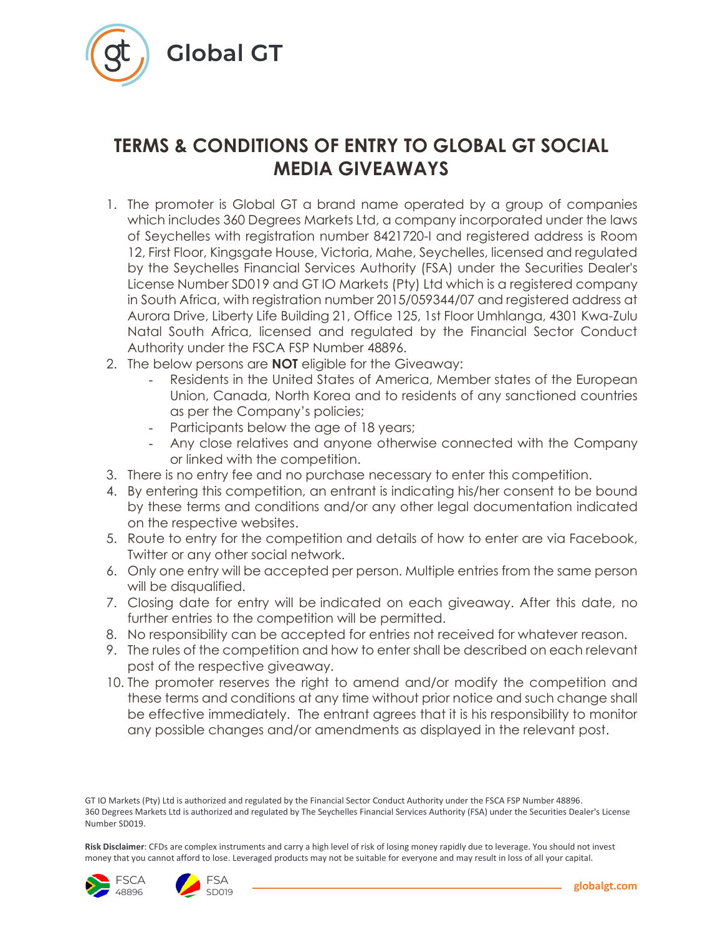

## **TERMS & CONDITIONS OF ENTRY TO GLOBAL GT SOCIAL MEDIA GIVEAWAYS**

- 1. The promoter is Global GT a brand name operated by a group of companies which includes 360 Degrees Markets Ltd, a company incorporated under the laws of Seychelles with registration number 8421720-I and registered address is Room 12, First Floor, Kingsgate House, Victoria, Mahe, Seychelles, licensed and regulated by the Seychelles Financial Services Authority (FSA) under the Securities Dealer's License Number SD019 and GT IO Markets (Pty) Ltd which is a registered company in South Africa, with registration number 2015/059344/07 and registered address at Aurora Drive, Liberty Life Building 21, Office 125, 1st Floor Umhlanga, 4301 Kwa-Zulu Natal South Africa, licensed and regulated by the Financial Sector Conduct Authority under the FSCA FSP Number 48896.
- 2. The below persons are **NOT** eligible for the Giveaway:
	- Residents in the United States of America, Member states of the European Union, Canada, North Korea and to residents of any sanctioned countries as per the Company's policies;
	- Participants below the age of 18 years;
	- Any close relatives and anyone otherwise connected with the Company or linked with the competition.
- 3. There is no entry fee and no purchase necessary to enter this competition.
- 4. By entering this competition, an entrant is indicating his/her consent to be bound by these terms and conditions and/or any other legal documentation indicated on the respective websites.
- 5. Route to entry for the competition and details of how to enter are via Facebook, Twitter or any other social network.
- 6. Only one entry will be accepted per person. Multiple entries from the same person will be disqualified.
- 7. Closing date for entry will be indicated on each giveaway. After this date, no further entries to the competition will be permitted.
- 8. No responsibility can be accepted for entries not received for whatever reason.
- 9. The rules of the competition and how to enter shall be described on each relevant post of the respective giveaway.
- 10. The promoter reserves the right to amend and/or modify the competition and these terms and conditions at any time without prior notice and such change shall be effective immediately. The entrant agrees that it is his responsibility to monitor any possible changes and/or amendments as displayed in the relevant post.

**Risk Disclaimer**: CFDs are complex instruments and carry a high level of risk of losing money rapidly due to leverage. You should not invest money that you cannot afford to lose. Leveraged products may not be suitable for everyone and may result in loss of all your capital.





GT IO Markets (Pty) Ltd is authorized and regulated by the Financial Sector Conduct Authority under the FSCA FSP Number 48896. 360 Degrees Markets Ltd is authorized and regulated by The Seychelles Financial Services Authority (FSA) under the Securities Dealer's License Number SD019.